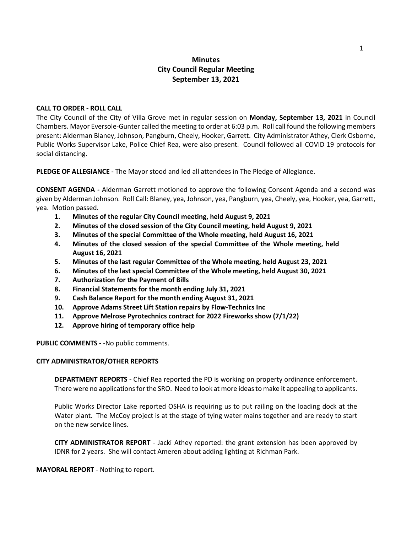# **Minutes City Council Regular Meeting September 13, 2021**

### **CALL TO ORDER - ROLL CALL**

The City Council of the City of Villa Grove met in regular session on **Monday, September 13, 2021** in Council Chambers. Mayor Eversole-Gunter called the meeting to order at 6:03 p.m. Roll call found the following members present: Alderman Blaney, Johnson, Pangburn, Cheely, Hooker, Garrett. City Administrator Athey, Clerk Osborne, Public Works Supervisor Lake, Police Chief Rea, were also present. Council followed all COVID 19 protocols for social distancing.

**PLEDGE OF ALLEGIANCE -** The Mayor stood and led all attendees in The Pledge of Allegiance.

**CONSENT AGENDA -** Alderman Garrett motioned to approve the following Consent Agenda and a second was given by Alderman Johnson. Roll Call: Blaney, yea, Johnson, yea, Pangburn, yea, Cheely, yea, Hooker, yea, Garrett, yea. Motion passed.

- **1. Minutes of the regular City Council meeting, held August 9, 2021**
- **2. Minutes of the closed session of the City Council meeting, held August 9, 2021**
- **3. Minutes of the special Committee of the Whole meeting, held August 16, 2021**
- **4. Minutes of the closed session of the special Committee of the Whole meeting, held August 16, 2021**
- **5. Minutes of the last regular Committee of the Whole meeting, held August 23, 2021**
- **6. Minutes of the last special Committee of the Whole meeting, held August 30, 2021**
- **7. Authorization for the Payment of Bills**
- **8. Financial Statements for the month ending July 31, 2021**
- **9. Cash Balance Report for the month ending August 31, 2021**
- **10. Approve Adams Street Lift Station repairs by Flow-Technics Inc**
- **11. Approve Melrose Pyrotechnics contract for 2022 Fireworks show (7/1/22)**
- **12. Approve hiring of temporary office help**

**PUBLIC COMMENTS -** -No public comments.

#### **CITY ADMINISTRATOR/OTHER REPORTS**

**DEPARTMENT REPORTS -** Chief Rea reported the PD is working on property ordinance enforcement. There were no applications for the SRO. Need to look at more ideas to make it appealing to applicants.

Public Works Director Lake reported OSHA is requiring us to put railing on the loading dock at the Water plant. The McCoy project is at the stage of tying water mains together and are ready to start on the new service lines.

**CITY ADMINISTRATOR REPORT** - Jacki Athey reported: the grant extension has been approved by IDNR for 2 years. She will contact Ameren about adding lighting at Richman Park.

**MAYORAL REPORT** - Nothing to report.